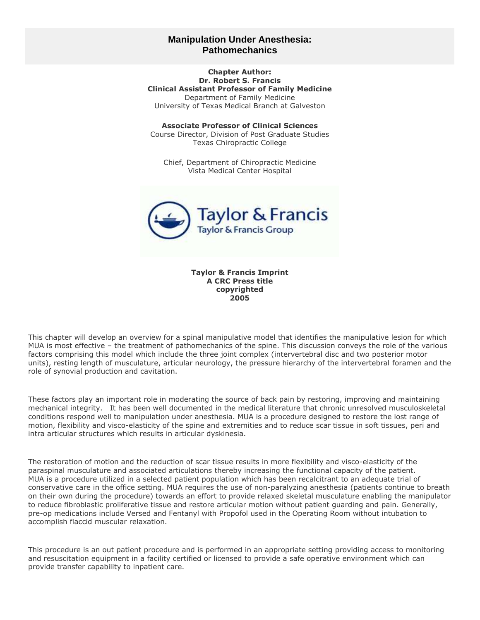# **Manipulation Under Anesthesia: Pathomechanics**

**Chapter Author: Dr. Robert S. Francis Clinical Assistant Professor of Family Medicine** Department of Family Medicine University of Texas Medical Branch at Galveston

**Associate Professor of Clinical Sciences** Course Director, Division of Post Graduate Studies Texas Chiropractic College

Chief, Department of Chiropractic Medicine Vista Medical Center Hospital



**Taylor & Francis Imprint A CRC Press title copyrighted 2005**

This chapter will develop an overview for a spinal manipulative model that identifies the manipulative lesion for which MUA is most effective – the treatment of pathomechanics of the spine. This discussion conveys the role of the various factors comprising this model which include the three joint complex (intervertebral disc and two posterior motor units), resting length of musculature, articular neurology, the pressure hierarchy of the intervertebral foramen and the role of synovial production and cavitation.

These factors play an important role in moderating the source of back pain by restoring, improving and maintaining mechanical integrity. It has been well documented in the medical literature that chronic unresolved musculoskeletal conditions respond well to manipulation under anesthesia. MUA is a procedure designed to restore the lost range of motion, flexibility and visco-elasticity of the spine and extremities and to reduce scar tissue in soft tissues, peri and intra articular structures which results in articular dyskinesia.

The restoration of motion and the reduction of scar tissue results in more flexibility and visco-elasticity of the paraspinal musculature and associated articulations thereby increasing the functional capacity of the patient. MUA is a procedure utilized in a selected patient population which has been recalcitrant to an adequate trial of conservative care in the office setting. MUA requires the use of non-paralyzing anesthesia (patients continue to breath on their own during the procedure) towards an effort to provide relaxed skeletal musculature enabling the manipulator to reduce fibroblastic proliferative tissue and restore articular motion without patient guarding and pain. Generally, pre-op medications include Versed and Fentanyl with Propofol used in the Operating Room without intubation to accomplish flaccid muscular relaxation.

This procedure is an out patient procedure and is performed in an appropriate setting providing access to monitoring and resuscitation equipment in a facility certified or licensed to provide a safe operative environment which can provide transfer capability to inpatient care.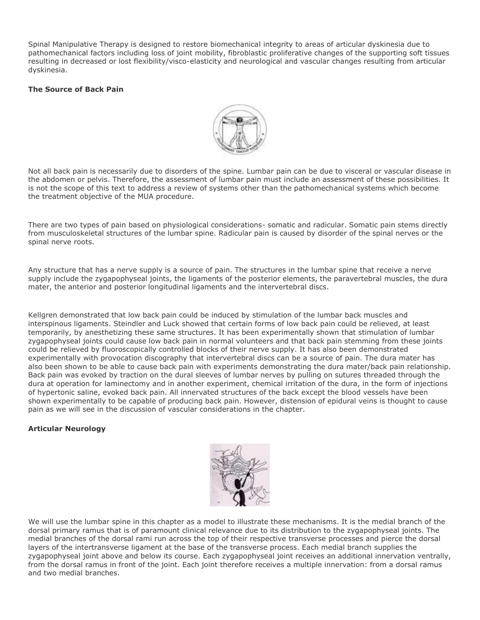Spinal Manipulative Therapy is designed to restore biomechanical integrity to areas of articular dyskinesia due to pathomechanical factors including loss of joint mobility, fibroblastic proliferative changes of the supporting soft tissues resulting in decreased or lost flexibility/visco-elasticity and neurological and vascular changes resulting from articular dyskinesia.

## **The Source of Back Pain**



Not all back pain is necessarily due to disorders of the spine. Lumbar pain can be due to visceral or vascular disease in the abdomen or pelvis. Therefore, the assessment of lumbar pain must include an assessment of these possibilities. It is not the scope of this text to address a review of systems other than the pathomechanical systems which become the treatment objective of the MUA procedure.

There are two types of pain based on physiological considerations- somatic and radicular. Somatic pain stems directly from musculoskeletal structures of the lumbar spine. Radicular pain is caused by disorder of the spinal nerves or the spinal nerve roots.

Any structure that has a nerve supply is a source of pain. The structures in the lumbar spine that receive a nerve supply include the zygapophyseal joints, the ligaments of the posterior elements, the paravertebral muscles, the dura mater, the anterior and posterior longitudinal ligaments and the intervertebral discs.

Kellgren demonstrated that low back pain could be induced by stimulation of the lumbar back muscles and interspinous ligaments. Steindler and Luck showed that certain forms of low back pain could be relieved, at least temporarily, by anesthetizing these same structures. It has been experimentally shown that stimulation of lumbar zygapophyseal joints could cause low back pain in normal volunteers and that back pain stemming from these joints could be relieved by fluoroscopically controlled blocks of their nerve supply. It has also been demonstrated experimentally with provocation discography that intervertebral discs can be a source of pain. The dura mater has also been shown to be able to cause back pain with experiments demonstrating the dura mater/back pain relationship. Back pain was evoked by traction on the dural sleeves of lumbar nerves by pulling on sutures threaded through the dura at operation for laminectomy and in another experiment, chemical irritation of the dura, in the form of injections of hypertonic saline, evoked back pain. All innervated structures of the back except the blood vessels have been shown experimentally to be capable of producing back pain. However, distension of epidural veins is thought to cause pain as we will see in the discussion of vascular considerations in the chapter.

## **Articular Neurology**



We will use the lumbar spine in this chapter as a model to illustrate these mechanisms. It is the medial branch of the dorsal primary ramus that is of paramount clinical relevance due to its distribution to the zygapophyseal joints. The medial branches of the dorsal rami run across the top of their respective transverse processes and pierce the dorsal layers of the intertransverse ligament at the base of the transverse process. Each medial branch supplies the zygapophyseal joint above and below its course. Each zygapophyseal joint receives an additional innervation ventrally, from the dorsal ramus in front of the joint. Each joint therefore receives a multiple innervation: from a dorsal ramus and two medial branches.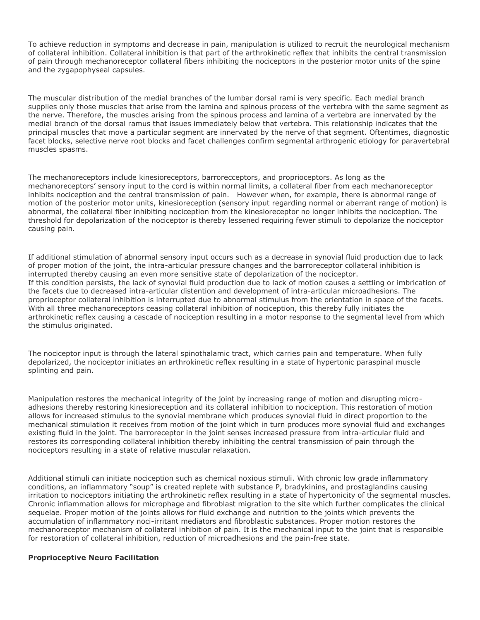To achieve reduction in symptoms and decrease in pain, manipulation is utilized to recruit the neurological mechanism of collateral inhibition. Collateral inhibition is that part of the arthrokinetic reflex that inhibits the central transmission of pain through mechanoreceptor collateral fibers inhibiting the nociceptors in the posterior motor units of the spine and the zygapophyseal capsules.

The muscular distribution of the medial branches of the lumbar dorsal rami is very specific. Each medial branch supplies only those muscles that arise from the lamina and spinous process of the vertebra with the same segment as the nerve. Therefore, the muscles arising from the spinous process and lamina of a vertebra are innervated by the medial branch of the dorsal ramus that issues immediately below that vertebra. This relationship indicates that the principal muscles that move a particular segment are innervated by the nerve of that segment. Oftentimes, diagnostic facet blocks, selective nerve root blocks and facet challenges confirm segmental arthrogenic etiology for paravertebral muscles spasms.

The mechanoreceptors include kinesioreceptors, barrorecceptors, and proprioceptors. As long as the mechanoreceptors" sensory input to the cord is within normal limits, a collateral fiber from each mechanoreceptor inhibits nociception and the central transmission of pain. However when, for example, there is abnormal range of motion of the posterior motor units, kinesioreception (sensory input regarding normal or aberrant range of motion) is abnormal, the collateral fiber inhibiting nociception from the kinesioreceptor no longer inhibits the nociception. The threshold for depolarization of the nociceptor is thereby lessened requiring fewer stimuli to depolarize the nociceptor causing pain.

If additional stimulation of abnormal sensory input occurs such as a decrease in synovial fluid production due to lack of proper motion of the joint, the intra-articular pressure changes and the barroreceptor collateral inhibition is interrupted thereby causing an even more sensitive state of depolarization of the nociceptor. If this condition persists, the lack of synovial fluid production due to lack of motion causes a settling or imbrication of the facets due to decreased intra-articular distention and development of intra-articular microadhesions. The proprioceptor collateral inhibition is interrupted due to abnormal stimulus from the orientation in space of the facets. With all three mechanoreceptors ceasing collateral inhibition of nociception, this thereby fully initiates the arthrokinetic reflex causing a cascade of nociception resulting in a motor response to the segmental level from which the stimulus originated.

The nociceptor input is through the lateral spinothalamic tract, which carries pain and temperature. When fully depolarized, the nociceptor initiates an arthrokinetic reflex resulting in a state of hypertonic paraspinal muscle splinting and pain.

Manipulation restores the mechanical integrity of the joint by increasing range of motion and disrupting microadhesions thereby restoring kinesioreception and its collateral inhibition to nociception. This restoration of motion allows for increased stimulus to the synovial membrane which produces synovial fluid in direct proportion to the mechanical stimulation it receives from motion of the joint which in turn produces more synovial fluid and exchanges existing fluid in the joint. The barroreceptor in the joint senses increased pressure from intra-articular fluid and restores its corresponding collateral inhibition thereby inhibiting the central transmission of pain through the nociceptors resulting in a state of relative muscular relaxation.

Additional stimuli can initiate nociception such as chemical noxious stimuli. With chronic low grade inflammatory conditions, an inflammatory "soup" is created replete with substance P, bradykinins, and prostaglandins causing irritation to nociceptors initiating the arthrokinetic reflex resulting in a state of hypertonicity of the segmental muscles. Chronic inflammation allows for microphage and fibroblast migration to the site which further complicates the clinical sequelae. Proper motion of the joints allows for fluid exchange and nutrition to the joints which prevents the accumulation of inflammatory noci-irritant mediators and fibroblastic substances. Proper motion restores the mechanoreceptor mechanism of collateral inhibition of pain. It is the mechanical input to the joint that is responsible for restoration of collateral inhibition, reduction of microadhesions and the pain-free state.

## **Proprioceptive Neuro Facilitation**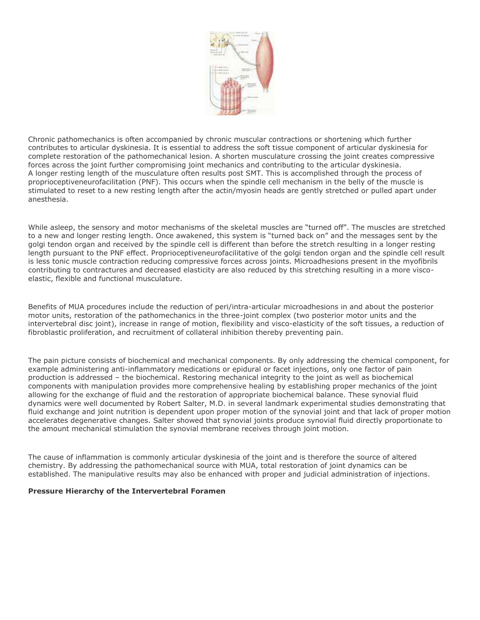

Chronic pathomechanics is often accompanied by chronic muscular contractions or shortening which further contributes to articular dyskinesia. It is essential to address the soft tissue component of articular dyskinesia for complete restoration of the pathomechanical lesion. A shorten musculature crossing the joint creates compressive forces across the joint further compromising joint mechanics and contributing to the articular dyskinesia. A longer resting length of the musculature often results post SMT. This is accomplished through the process of proprioceptiveneurofacilitation (PNF). This occurs when the spindle cell mechanism in the belly of the muscle is stimulated to reset to a new resting length after the actin/myosin heads are gently stretched or pulled apart under anesthesia.

While asleep, the sensory and motor mechanisms of the skeletal muscles are "turned off". The muscles are stretched to a new and longer resting length. Once awakened, this system is "turned back on" and the messages sent by the golgi tendon organ and received by the spindle cell is different than before the stretch resulting in a longer resting length pursuant to the PNF effect. Proprioceptiveneurofacilitative of the golgi tendon organ and the spindle cell result is less tonic muscle contraction reducing compressive forces across joints. Microadhesions present in the myofibrils contributing to contractures and decreased elasticity are also reduced by this stretching resulting in a more viscoelastic, flexible and functional musculature.

Benefits of MUA procedures include the reduction of peri/intra-articular microadhesions in and about the posterior motor units, restoration of the pathomechanics in the three-joint complex (two posterior motor units and the intervertebral disc joint), increase in range of motion, flexibility and visco-elasticity of the soft tissues, a reduction of fibroblastic proliferation, and recruitment of collateral inhibition thereby preventing pain.

The pain picture consists of biochemical and mechanical components. By only addressing the chemical component, for example administering anti-inflammatory medications or epidural or facet injections, only one factor of pain production is addressed – the biochemical. Restoring mechanical integrity to the joint as well as biochemical components with manipulation provides more comprehensive healing by establishing proper mechanics of the joint allowing for the exchange of fluid and the restoration of appropriate biochemical balance. These synovial fluid dynamics were well documented by Robert Salter, M.D. in several landmark experimental studies demonstrating that fluid exchange and joint nutrition is dependent upon proper motion of the synovial joint and that lack of proper motion accelerates degenerative changes. Salter showed that synovial joints produce synovial fluid directly proportionate to the amount mechanical stimulation the synovial membrane receives through joint motion.

The cause of inflammation is commonly articular dyskinesia of the joint and is therefore the source of altered chemistry. By addressing the pathomechanical source with MUA, total restoration of joint dynamics can be established. The manipulative results may also be enhanced with proper and judicial administration of injections.

## **Pressure Hierarchy of the Intervertebral Foramen**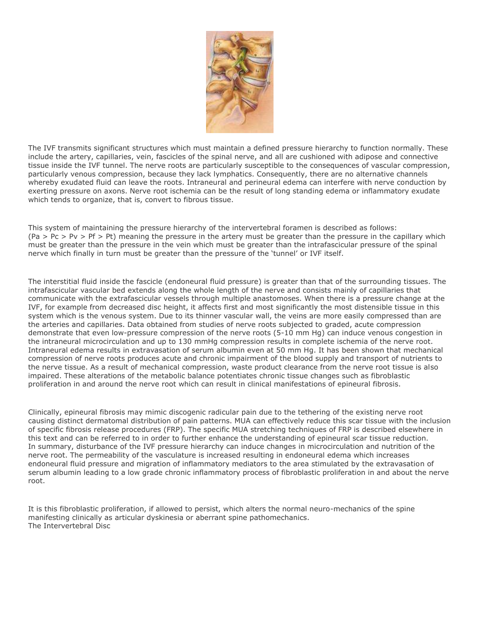

The IVF transmits significant structures which must maintain a defined pressure hierarchy to function normally. These include the artery, capillaries, vein, fascicles of the spinal nerve, and all are cushioned with adipose and connective tissue inside the IVF tunnel. The nerve roots are particularly susceptible to the consequences of vascular compression, particularly venous compression, because they lack lymphatics. Consequently, there are no alternative channels whereby exudated fluid can leave the roots. Intraneural and perineural edema can interfere with nerve conduction by exerting pressure on axons. Nerve root ischemia can be the result of long standing edema or inflammatory exudate which tends to organize, that is, convert to fibrous tissue.

This system of maintaining the pressure hierarchy of the intervertebral foramen is described as follows:  $(Pa > Pc > Py > Pf > Pt)$  meaning the pressure in the artery must be greater than the pressure in the capillary which must be greater than the pressure in the vein which must be greater than the intrafascicular pressure of the spinal nerve which finally in turn must be greater than the pressure of the "tunnel" or IVF itself.

The interstitial fluid inside the fascicle (endoneural fluid pressure) is greater than that of the surrounding tissues. The intrafascicular vascular bed extends along the whole length of the nerve and consists mainly of capillaries that communicate with the extrafascicular vessels through multiple anastomoses. When there is a pressure change at the IVF, for example from decreased disc height, it affects first and most significantly the most distensible tissue in this system which is the venous system. Due to its thinner vascular wall, the veins are more easily compressed than are the arteries and capillaries. Data obtained from studies of nerve roots subjected to graded, acute compression demonstrate that even low-pressure compression of the nerve roots (5-10 mm Hg) can induce venous congestion in the intraneural microcirculation and up to 130 mmHg compression results in complete ischemia of the nerve root. Intraneural edema results in extravasation of serum albumin even at 50 mm Hg. It has been shown that mechanical compression of nerve roots produces acute and chronic impairment of the blood supply and transport of nutrients to the nerve tissue. As a result of mechanical compression, waste product clearance from the nerve root tissue is also impaired. These alterations of the metabolic balance potentiates chronic tissue changes such as fibroblastic proliferation in and around the nerve root which can result in clinical manifestations of epineural fibrosis.

Clinically, epineural fibrosis may mimic discogenic radicular pain due to the tethering of the existing nerve root causing distinct dermatomal distribution of pain patterns. MUA can effectively reduce this scar tissue with the inclusion of specific fibrosis release procedures (FRP). The specific MUA stretching techniques of FRP is described elsewhere in this text and can be referred to in order to further enhance the understanding of epineural scar tissue reduction. In summary, disturbance of the IVF pressure hierarchy can induce changes in microcirculation and nutrition of the nerve root. The permeability of the vasculature is increased resulting in endoneural edema which increases endoneural fluid pressure and migration of inflammatory mediators to the area stimulated by the extravasation of serum albumin leading to a low grade chronic inflammatory process of fibroblastic proliferation in and about the nerve root.

It is this fibroblastic proliferation, if allowed to persist, which alters the normal neuro-mechanics of the spine manifesting clinically as articular dyskinesia or aberrant spine pathomechanics. The Intervertebral Disc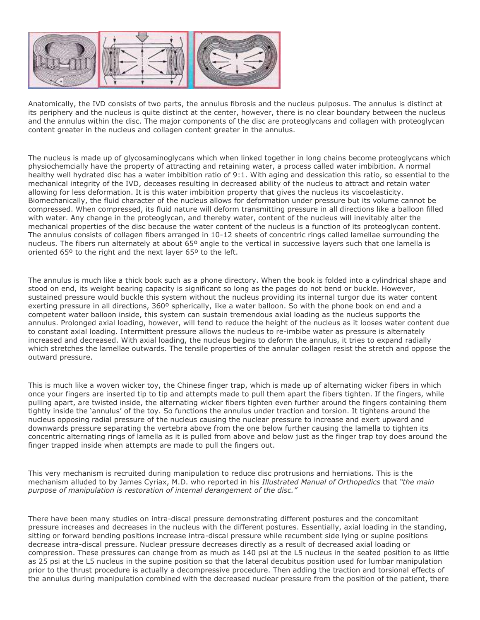

Anatomically, the IVD consists of two parts, the annulus fibrosis and the nucleus pulposus. The annulus is distinct at its periphery and the nucleus is quite distinct at the center, however, there is no clear boundary between the nucleus and the annulus within the disc. The major components of the disc are proteoglycans and collagen with proteoglycan content greater in the nucleus and collagen content greater in the annulus.

The nucleus is made up of glycosaminoglycans which when linked together in long chains become proteoglycans which physiochemcially have the property of attracting and retaining water, a process called water imbibition. A normal healthy well hydrated disc has a water imbibition ratio of 9:1. With aging and dessication this ratio, so essential to the mechanical integrity of the IVD, deceases resulting in decreased ability of the nucleus to attract and retain water allowing for less deformation. It is this water imbibition property that gives the nucleus its viscoelasticity. Biomechanically, the fluid character of the nucleus allows for deformation under pressure but its volume cannot be compressed. When compressed, its fluid nature will deform transmitting pressure in all directions like a balloon filled with water. Any change in the proteoglycan, and thereby water, content of the nucleus will inevitably alter the mechanical properties of the disc because the water content of the nucleus is a function of its proteoglycan content. The annulus consists of collagen fibers arranged in 10-12 sheets of concentric rings called lamellae surrounding the nucleus. The fibers run alternately at about 65º angle to the vertical in successive layers such that one lamella is oriented 65º to the right and the next layer 65º to the left.

The annulus is much like a thick book such as a phone directory. When the book is folded into a cylindrical shape and stood on end, its weight bearing capacity is significant so long as the pages do not bend or buckle. However, sustained pressure would buckle this system without the nucleus providing its internal turgor due its water content exerting pressure in all directions, 360º spherically, like a water balloon. So with the phone book on end and a competent water balloon inside, this system can sustain tremendous axial loading as the nucleus supports the annulus. Prolonged axial loading, however, will tend to reduce the height of the nucleus as it looses water content due to constant axial loading. Intermittent pressure allows the nucleus to re-imbibe water as pressure is alternately increased and decreased. With axial loading, the nucleus begins to deform the annulus, it tries to expand radially which stretches the lamellae outwards. The tensile properties of the annular collagen resist the stretch and oppose the outward pressure.

This is much like a woven wicker toy, the Chinese finger trap, which is made up of alternating wicker fibers in which once your fingers are inserted tip to tip and attempts made to pull them apart the fibers tighten. If the fingers, while pulling apart, are twisted inside, the alternating wicker fibers tighten even further around the fingers containing them tightly inside the "annulus" of the toy. So functions the annulus under traction and torsion. It tightens around the nucleus opposing radial pressure of the nucleus causing the nuclear pressure to increase and exert upward and downwards pressure separating the vertebra above from the one below further causing the lamella to tighten its concentric alternating rings of lamella as it is pulled from above and below just as the finger trap toy does around the finger trapped inside when attempts are made to pull the fingers out.

This very mechanism is recruited during manipulation to reduce disc protrusions and herniations. This is the mechanism alluded to by James Cyriax, M.D. who reported in his *Illustrated Manual of Orthopedics* that *"the main purpose of manipulation is restoration of internal derangement of the disc."*

There have been many studies on intra-discal pressure demonstrating different postures and the concomitant pressure increases and decreases in the nucleus with the different postures. Essentially, axial loading in the standing, sitting or forward bending positions increase intra-discal pressure while recumbent side lying or supine positions decrease intra-discal pressure. Nuclear pressure decreases directly as a result of decreased axial loading or compression. These pressures can change from as much as 140 psi at the L5 nucleus in the seated position to as little as 25 psi at the L5 nucleus in the supine position so that the lateral decubitus position used for lumbar manipulation prior to the thrust procedure is actually a decompressive procedure. Then adding the traction and torsional effects of the annulus during manipulation combined with the decreased nuclear pressure from the position of the patient, there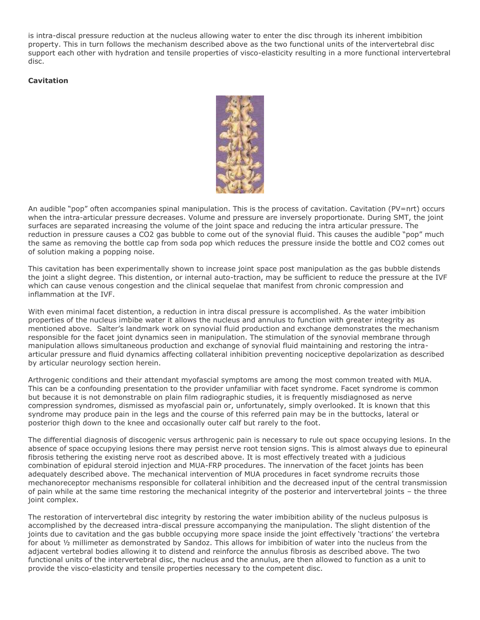is intra-discal pressure reduction at the nucleus allowing water to enter the disc through its inherent imbibition property. This in turn follows the mechanism described above as the two functional units of the intervertebral disc support each other with hydration and tensile properties of visco-elasticity resulting in a more functional intervertebral disc.

### **Cavitation**



An audible "pop" often accompanies spinal manipulation. This is the process of cavitation. Cavitation (PV=nrt) occurs when the intra-articular pressure decreases. Volume and pressure are inversely proportionate. During SMT, the joint surfaces are separated increasing the volume of the joint space and reducing the intra articular pressure. The reduction in pressure causes a CO2 gas bubble to come out of the synovial fluid. This causes the audible "pop" much the same as removing the bottle cap from soda pop which reduces the pressure inside the bottle and CO2 comes out of solution making a popping noise.

This cavitation has been experimentally shown to increase joint space post manipulation as the gas bubble distends the joint a slight degree. This distention, or internal auto-traction, may be sufficient to reduce the pressure at the IVF which can cause venous congestion and the clinical sequelae that manifest from chronic compression and inflammation at the IVF.

With even minimal facet distention, a reduction in intra discal pressure is accomplished. As the water imbibition properties of the nucleus imbibe water it allows the nucleus and annulus to function with greater integrity as mentioned above. Salter"s landmark work on synovial fluid production and exchange demonstrates the mechanism responsible for the facet joint dynamics seen in manipulation. The stimulation of the synovial membrane through manipulation allows simultaneous production and exchange of synovial fluid maintaining and restoring the intraarticular pressure and fluid dynamics affecting collateral inhibition preventing nociceptive depolarization as described by articular neurology section herein.

Arthrogenic conditions and their attendant myofascial symptoms are among the most common treated with MUA. This can be a confounding presentation to the provider unfamiliar with facet syndrome. Facet syndrome is common but because it is not demonstrable on plain film radiographic studies, it is frequently misdiagnosed as nerve compression syndromes, dismissed as myofascial pain or, unfortunately, simply overlooked. It is known that this syndrome may produce pain in the legs and the course of this referred pain may be in the buttocks, lateral or posterior thigh down to the knee and occasionally outer calf but rarely to the foot.

The differential diagnosis of discogenic versus arthrogenic pain is necessary to rule out space occupying lesions. In the absence of space occupying lesions there may persist nerve root tension signs. This is almost always due to epineural fibrosis tethering the existing nerve root as described above. It is most effectively treated with a judicious combination of epidural steroid injection and MUA-FRP procedures. The innervation of the facet joints has been adequately described above. The mechanical intervention of MUA procedures in facet syndrome recruits those mechanoreceptor mechanisms responsible for collateral inhibition and the decreased input of the central transmission of pain while at the same time restoring the mechanical integrity of the posterior and intervertebral joints – the three joint complex.

The restoration of intervertebral disc integrity by restoring the water imbibition ability of the nucleus pulposus is accomplished by the decreased intra-discal pressure accompanying the manipulation. The slight distention of the joints due to cavitation and the gas bubble occupying more space inside the joint effectively 'tractions' the vertebra for about ½ millimeter as demonstrated by Sandoz. This allows for imbibition of water into the nucleus from the adjacent vertebral bodies allowing it to distend and reinforce the annulus fibrosis as described above. The two functional units of the intervertebral disc, the nucleus and the annulus, are then allowed to function as a unit to provide the visco-elasticity and tensile properties necessary to the competent disc.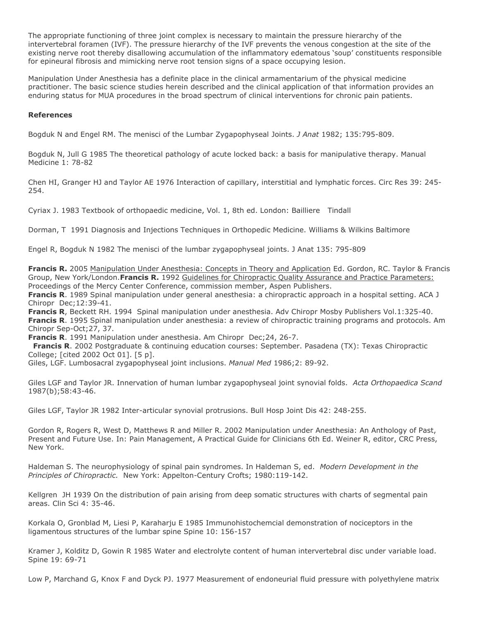The appropriate functioning of three joint complex is necessary to maintain the pressure hierarchy of the intervertebral foramen (IVF). The pressure hierarchy of the IVF prevents the venous congestion at the site of the existing nerve root thereby disallowing accumulation of the inflammatory edematous "soup" constituents responsible for epineural fibrosis and mimicking nerve root tension signs of a space occupying lesion.

Manipulation Under Anesthesia has a definite place in the clinical armamentarium of the physical medicine practitioner. The basic science studies herein described and the clinical application of that information provides an enduring status for MUA procedures in the broad spectrum of clinical interventions for chronic pain patients.

## **References**

Bogduk N and Engel RM. The menisci of the Lumbar Zygapophyseal Joints. *J Anat* 1982; 135:795-809.

Bogduk N, Jull G 1985 The theoretical pathology of acute locked back: a basis for manipulative therapy. Manual Medicine 1: 78-82

Chen HI, Granger HJ and Taylor AE 1976 Interaction of capillary, interstitial and lymphatic forces. Circ Res 39: 245- 254.

Cyriax J. 1983 Textbook of orthopaedic medicine, Vol. 1, 8th ed. London: Bailliere Tindall

Dorman, T 1991 Diagnosis and Injections Techniques in Orthopedic Medicine. Williams & Wilkins Baltimore

Engel R, Bogduk N 1982 The menisci of the lumbar zygapophyseal joints. J Anat 135: 795-809

**Francis R.** 2005 Manipulation Under Anesthesia: Concepts in Theory and Application Ed. Gordon, RC. Taylor & Francis Group, New York/London.**Francis R.** 1992 Guidelines for Chiropractic Quality Assurance and Practice Parameters: Proceedings of the Mercy Center Conference, commission member, Aspen Publishers.

**Francis R**. 1989 Spinal manipulation under general anesthesia: a chiropractic approach in a hospital setting. ACA J Chiropr Dec;12:39-41.

**Francis R**, Beckett RH. 1994 Spinal manipulation under anesthesia. Adv Chiropr Mosby Publishers Vol.1:325-40. **Francis R**. 1995 Spinal manipulation under anesthesia: a review of chiropractic training programs and protocols. Am Chiropr Sep-Oct;27, 37.

**Francis R**. 1991 Manipulation under anesthesia. Am Chiropr Dec;24, 26-7.

**Francis R**. 2002 Postgraduate & continuing education courses: September. Pasadena (TX): Texas Chiropractic College; [cited 2002 Oct 01]. [5 p].

Giles, LGF. Lumbosacral zygapophyseal joint inclusions. *Manual Med* 1986;2: 89-92.

Giles LGF and Taylor JR. Innervation of human lumbar zygapophyseal joint synovial folds. *Acta Orthopaedica Scand* 1987(b);58:43-46.

Giles LGF, Taylor JR 1982 Inter-articular synovial protrusions. Bull Hosp Joint Dis 42: 248-255.

Gordon R, Rogers R, West D, Matthews R and Miller R. 2002 Manipulation under Anesthesia: An Anthology of Past, Present and Future Use. In: Pain Management, A Practical Guide for Clinicians 6th Ed. Weiner R, editor, CRC Press, New York.

Haldeman S. The neurophysiology of spinal pain syndromes. In Haldeman S, ed. *Modern Development in the Principles of Chiropractic.* New York: Appelton-Century Crofts; 1980:119-142.

Kellgren JH 1939 On the distribution of pain arising from deep somatic structures with charts of segmental pain areas. Clin Sci 4: 35-46.

Korkala O, Gronblad M, Liesi P, Karaharju E 1985 Immunohistochemcial demonstration of nociceptors in the ligamentous structures of the lumbar spine Spine 10: 156-157

Kramer J, Kolditz D, Gowin R 1985 Water and electrolyte content of human intervertebral disc under variable load. Spine 19: 69-71

Low P, Marchand G, Knox F and Dyck PJ. 1977 Measurement of endoneurial fluid pressure with polyethylene matrix